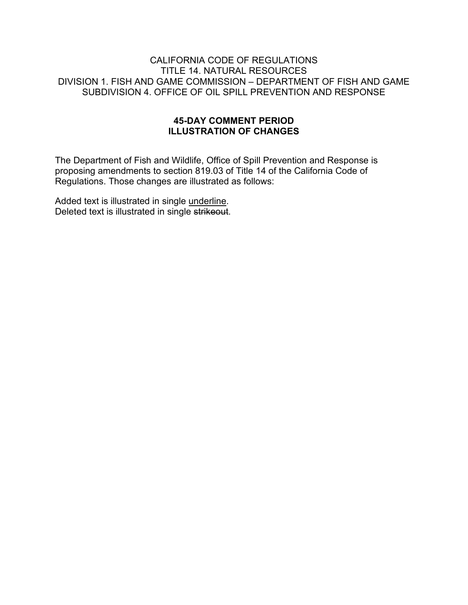### CALIFORNIA CODE OF REGULATIONS TITLE 14. NATURAL RESOURCES DIVISION 1. FISH AND GAME COMMISSION – DEPARTMENT OF FISH AND GAME SUBDIVISION 4. OFFICE OF OIL SPILL PREVENTION AND RESPONSE

### **45-DAY COMMENT PERIOD ILLUSTRATION OF CHANGES**

The Department of Fish and Wildlife, Office of Spill Prevention and Response is proposing amendments to section 819.03 of Title 14 of the California Code of Regulations. Those changes are illustrated as follows:

Added text is illustrated in single underline. Deleted text is illustrated in single strikeout.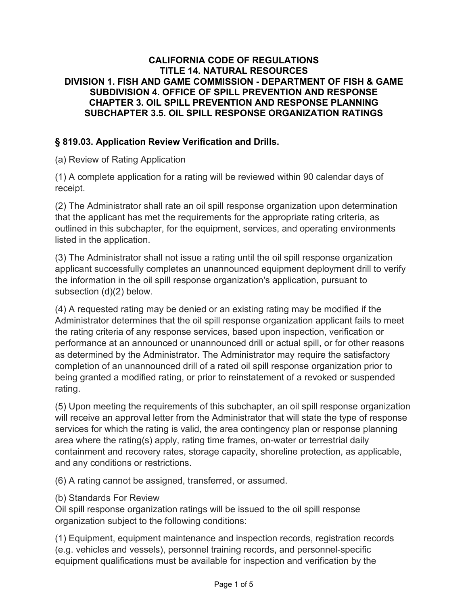### **CALIFORNIA CODE OF REGULATIONS TITLE 14. NATURAL RESOURCES DIVISION 1. FISH AND GAME COMMISSION - DEPARTMENT OF FISH & GAME SUBDIVISION 4. OFFICE OF SPILL PREVENTION AND RESPONSE CHAPTER 3. OIL SPILL PREVENTION AND RESPONSE PLANNING SUBCHAPTER 3.5. OIL SPILL RESPONSE ORGANIZATION RATINGS**

# **§ 819.03. Application Review Verification and Drills.**

(a) Review of Rating Application

(1) A complete application for a rating will be reviewed within 90 calendar days of receipt.

(2) The Administrator shall rate an oil spill response organization upon determination that the applicant has met the requirements for the appropriate rating criteria, as outlined in this subchapter, for the equipment, services, and operating environments listed in the application.

(3) The Administrator shall not issue a rating until the oil spill response organization applicant successfully completes an unannounced equipment deployment drill to verify the information in the oil spill response organization's application, pursuant to subsection (d)(2) below.

(4) A requested rating may be denied or an existing rating may be modified if the Administrator determines that the oil spill response organization applicant fails to meet the rating criteria of any response services, based upon inspection, verification or performance at an announced or unannounced drill or actual spill, or for other reasons as determined by the Administrator. The Administrator may require the satisfactory completion of an unannounced drill of a rated oil spill response organization prior to being granted a modified rating, or prior to reinstatement of a revoked or suspended rating.

(5) Upon meeting the requirements of this subchapter, an oil spill response organization will receive an approval letter from the Administrator that will state the type of response services for which the rating is valid, the area contingency plan or response planning area where the rating(s) apply, rating time frames, on-water or terrestrial daily containment and recovery rates, storage capacity, shoreline protection, as applicable, and any conditions or restrictions.

(6) A rating cannot be assigned, transferred, or assumed.

### (b) Standards For Review

Oil spill response organization ratings will be issued to the oil spill response organization subject to the following conditions:

(1) Equipment, equipment maintenance and inspection records, registration records (e.g. vehicles and vessels), personnel training records, and personnel-specific equipment qualifications must be available for inspection and verification by the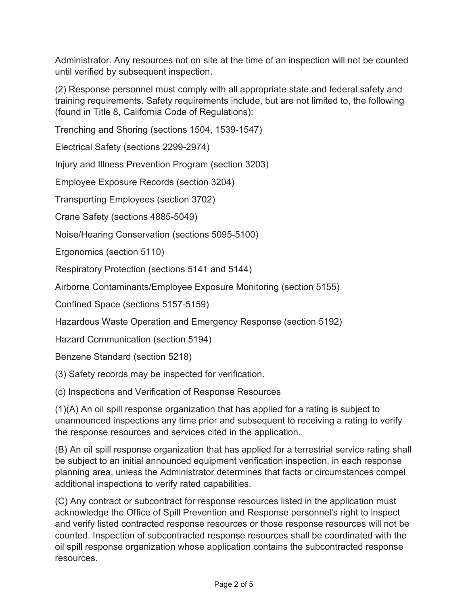Administrator. Any resources not on site at the time of an inspection will not be counted until verified by subsequent inspection.

(2) Response personnel must comply with all appropriate state and federal safety and training requirements. Safety requirements include, but are not limited to, the following (found in Title 8, California Code of Regulations):

Trenching and Shoring (sections 1504, 1539-1547)

Electrical Safety (sections 2299-2974)

Injury and Illness Prevention Program (section 3203)

Employee Exposure Records (section 3204)

Transporting Employees (section 3702)

Crane Safety (sections 4885-5049)

Noise/Hearing Conservation (sections 5095-5100)

Ergonomics (section 5110)

Respiratory Protection (sections 5141 and 5144)

Airborne Contaminants/Employee Exposure Monitoring (section 5155)

Confined Space (sections 5157-5159)

Hazardous Waste Operation and Emergency Response (section 5192)

Hazard Communication (section 5194)

Benzene Standard (section 5218)

(3) Safety records may be inspected for verification.

(c) Inspections and Verification of Response Resources

(1)(A) An oil spill response organization that has applied for a rating is subject to unannounced inspections any time prior and subsequent to receiving a rating to verify the response resources and services cited in the application.

(B) An oil spill response organization that has applied for a terrestrial service rating shall be subject to an initial announced equipment verification inspection, in each response planning area, unless the Administrator determines that facts or circumstances compel additional inspections to verify rated capabilities.

(C) Any contract or subcontract for response resources listed in the application must acknowledge the Office of Spill Prevention and Response personnel's right to inspect and verify listed contracted response resources or those response resources will not be counted. Inspection of subcontracted response resources shall be coordinated with the oil spill response organization whose application contains the subcontracted response resources.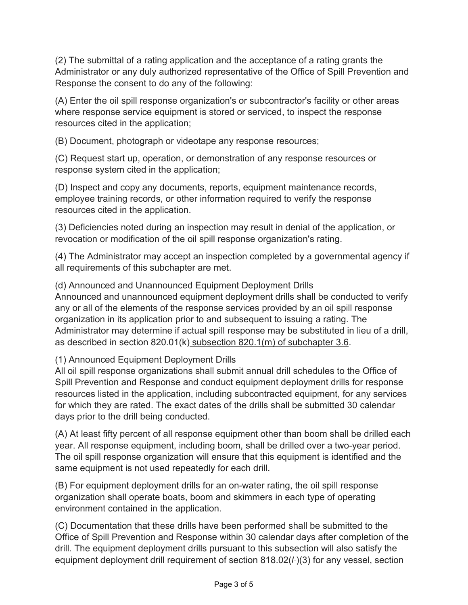(2) The submittal of a rating application and the acceptance of a rating grants the Administrator or any duly authorized representative of the Office of Spill Prevention and Response the consent to do any of the following:

(A) Enter the oil spill response organization's or subcontractor's facility or other areas where response service equipment is stored or serviced, to inspect the response resources cited in the application;

(B) Document, photograph or videotape any response resources;

(C) Request start up, operation, or demonstration of any response resources or response system cited in the application;

(D) Inspect and copy any documents, reports, equipment maintenance records, employee training records, or other information required to verify the response resources cited in the application.

(3) Deficiencies noted during an inspection may result in denial of the application, or revocation or modification of the oil spill response organization's rating.

(4) The Administrator may accept an inspection completed by a governmental agency if all requirements of this subchapter are met.

(d) Announced and Unannounced Equipment Deployment Drills Announced and unannounced equipment deployment drills shall be conducted to verify any or all of the elements of the response services provided by an oil spill response organization in its application prior to and subsequent to issuing a rating. The Administrator may determine if actual spill response may be substituted in lieu of a drill, as described in section 820.01(k) subsection 820.1(m) of subchapter 3.6.

(1) Announced Equipment Deployment Drills

All oil spill response organizations shall submit annual drill schedules to the Office of Spill Prevention and Response and conduct equipment deployment drills for response resources listed in the application, including subcontracted equipment, for any services for which they are rated. The exact dates of the drills shall be submitted 30 calendar days prior to the drill being conducted.

(A) At least fifty percent of all response equipment other than boom shall be drilled each year. All response equipment, including boom, shall be drilled over a two-year period. The oil spill response organization will ensure that this equipment is identified and the same equipment is not used repeatedly for each drill.

(B) For equipment deployment drills for an on-water rating, the oil spill response organization shall operate boats, boom and skimmers in each type of operating environment contained in the application.

(C) Documentation that these drills have been performed shall be submitted to the Office of Spill Prevention and Response within 30 calendar days after completion of the drill. The equipment deployment drills pursuant to this subsection will also satisfy the equipment deployment drill requirement of section 818.02(*l* )(3) for any vessel, section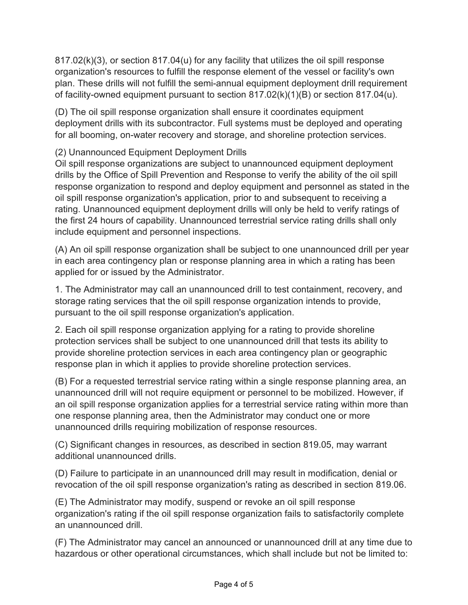817.02(k)(3), or section 817.04(u) for any facility that utilizes the oil spill response organization's resources to fulfill the response element of the vessel or facility's own plan. These drills will not fulfill the semi-annual equipment deployment drill requirement of facility-owned equipment pursuant to section 817.02(k)(1)(B) or section 817.04(u).

(D) The oil spill response organization shall ensure it coordinates equipment deployment drills with its subcontractor. Full systems must be deployed and operating for all booming, on-water recovery and storage, and shoreline protection services.

## (2) Unannounced Equipment Deployment Drills

Oil spill response organizations are subject to unannounced equipment deployment drills by the Office of Spill Prevention and Response to verify the ability of the oil spill response organization to respond and deploy equipment and personnel as stated in the oil spill response organization's application, prior to and subsequent to receiving a rating. Unannounced equipment deployment drills will only be held to verify ratings of the first 24 hours of capability. Unannounced terrestrial service rating drills shall only include equipment and personnel inspections.

(A) An oil spill response organization shall be subject to one unannounced drill per year in each area contingency plan or response planning area in which a rating has been applied for or issued by the Administrator.

1. The Administrator may call an unannounced drill to test containment, recovery, and storage rating services that the oil spill response organization intends to provide, pursuant to the oil spill response organization's application.

2. Each oil spill response organization applying for a rating to provide shoreline protection services shall be subject to one unannounced drill that tests its ability to provide shoreline protection services in each area contingency plan or geographic response plan in which it applies to provide shoreline protection services.

(B) For a requested terrestrial service rating within a single response planning area, an unannounced drill will not require equipment or personnel to be mobilized. However, if an oil spill response organization applies for a terrestrial service rating within more than one response planning area, then the Administrator may conduct one or more unannounced drills requiring mobilization of response resources.

(C) Significant changes in resources, as described in section 819.05, may warrant additional unannounced drills.

(D) Failure to participate in an unannounced drill may result in modification, denial or revocation of the oil spill response organization's rating as described in section 819.06.

(E) The Administrator may modify, suspend or revoke an oil spill response organization's rating if the oil spill response organization fails to satisfactorily complete an unannounced drill.

(F) The Administrator may cancel an announced or unannounced drill at any time due to hazardous or other operational circumstances, which shall include but not be limited to: